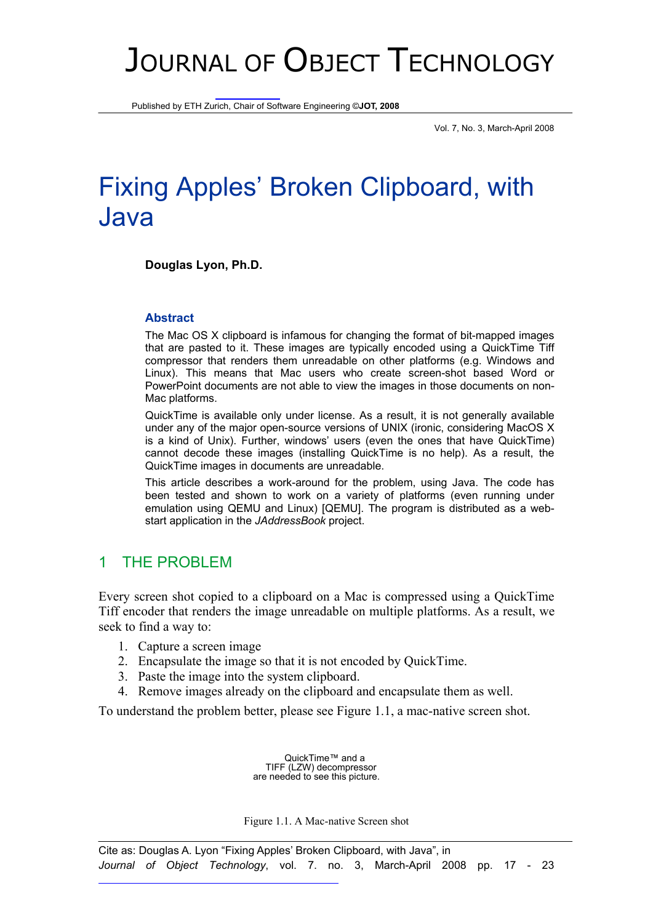# JOURNAL OF OBJECT TECHNOLOGY

Published by ETH Zurich, Chair of Software Engineering ©**JOT, 2008**

Vol. 7, No. 3, March-April 2008

# Fixing Apples' Broken Clipboard, with Java

**Douglas Lyon, Ph.D.** 

#### **Abstract**

The Mac OS X clipboard is infamous for changing the format of bit-mapped images that are pasted to it. These images are typically encoded using a QuickTime Tiff compressor that renders them unreadable on other platforms (e.g. Windows and Linux). This means that Mac users who create screen-shot based Word or PowerPoint documents are not able to view the images in those documents on non-Mac platforms.

QuickTime is available only under license. As a result, it is not generally available under any of the major open-source versions of UNIX (ironic, considering MacOS X is a kind of Unix). Further, windows' users (even the ones that have QuickTime) cannot decode these images (installing QuickTime is no help). As a result, the QuickTime images in documents are unreadable.

This article describes a work-around for the problem, using Java. The code has been tested and shown to work on a variety of platforms (even running under emulation using QEMU and Linux) [QEMU]. The program is distributed as a webstart application in the *JAddressBook* project.

#### 1 THE PROBLEM

Every screen shot copied to a clipboard on a Mac is compressed using a QuickTime Tiff encoder that renders the image unreadable on multiple platforms. As a result, we seek to find a way to:

- 1. Capture a screen image
- 2. Encapsulate the image so that it is not encoded by QuickTime.
- 3. Paste the image into the system clipboard.
- 4. Remove images already on the clipboard and encapsulate them as well.

To understand the problem better, please see Figure 1.1, a mac-native screen shot.

QuickTime™ and a TIFF (LZW) decompressor are needed to see this picture.

Figure 1.1. A Mac-native Screen shot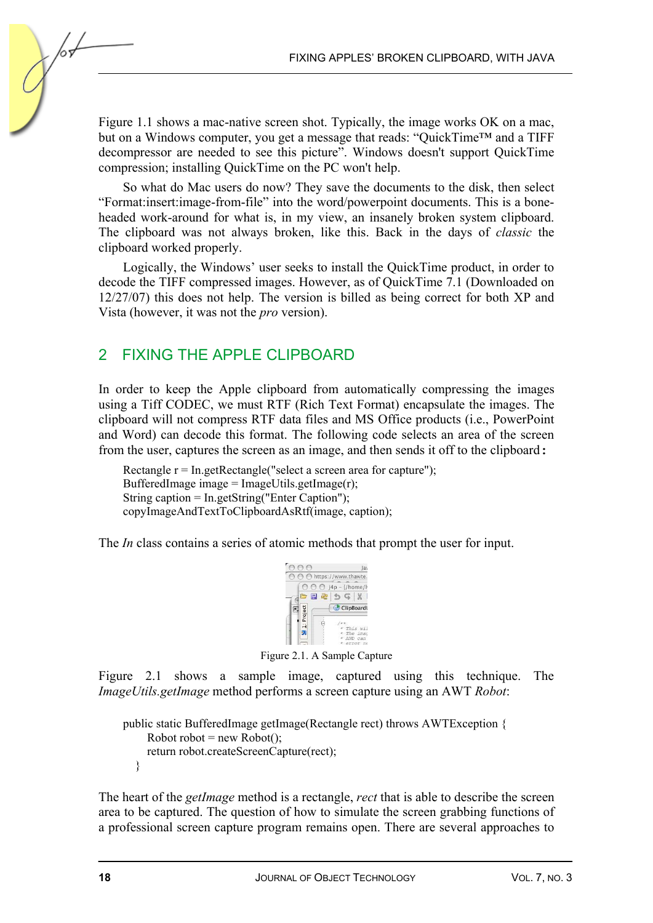Figure 1.1 shows a mac-native screen shot. Typically, the image works OK on a mac, but on a Windows computer, you get a message that reads: "QuickTime™ and a TIFF decompressor are needed to see this picture". Windows doesn't support QuickTime compression; installing QuickTime on the PC won't help.

So what do Mac users do now? They save the documents to the disk, then select "Format:insert:image-from-file" into the word/powerpoint documents. This is a boneheaded work-around for what is, in my view, an insanely broken system clipboard. The clipboard was not always broken, like this. Back in the days of *classic* the clipboard worked properly.

Logically, the Windows' user seeks to install the QuickTime product, in order to decode the TIFF compressed images. However, as of QuickTime 7.1 (Downloaded on 12/27/07) this does not help. The version is billed as being correct for both XP and Vista (however, it was not the *pro* version).

#### 2 FIXING THE APPLE CLIPBOARD

In order to keep the Apple clipboard from automatically compressing the images using a Tiff CODEC, we must RTF (Rich Text Format) encapsulate the images. The clipboard will not compress RTF data files and MS Office products (i.e., PowerPoint and Word) can decode this format. The following code selects an area of the screen from the user, captures the screen as an image, and then sends it off to the clipboard:

Rectangle  $r = In.getRectangle("select a screen area for capture");$ BufferedImage image =  $ImageU$ tils.getImage(r); String caption =  $In.getString("Enter Captain");$ copyImageAndTextToClipboardAsRtf(image, caption);

The *In* class contains a series of atomic methods that prompt the user for input.



Figure 2.1. A Sample Capture

Figure 2.1 shows a sample image, captured using this technique. The *ImageUtils.getImage* method performs a screen capture using an AWT *Robot*:

```
public static BufferedImage getImage(Rectangle rect) throws AWTException { 
     Robot robot = new Robot(); return robot.createScreenCapture(rect); 
   }
```
The heart of the *getImage* method is a rectangle, *rect* that is able to describe the screen area to be captured. The question of how to simulate the screen grabbing functions of a professional screen capture program remains open. There are several approaches to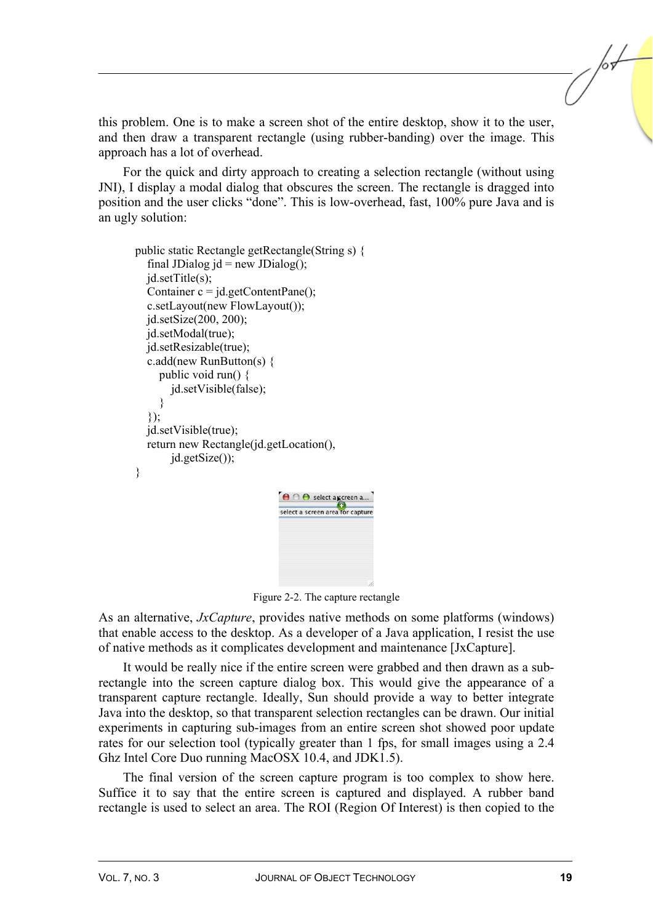this problem. One is to make a screen shot of the entire desktop, show it to the user, and then draw a transparent rectangle (using rubber-banding) over the image. This approach has a lot of overhead.

For the quick and dirty approach to creating a selection rectangle (without using JNI), I display a modal dialog that obscures the screen. The rectangle is dragged into position and the user clicks "done". This is low-overhead, fast, 100% pure Java and is an ugly solution:

```
 public static Rectangle getRectangle(String s) { 
  final JDialog id = new JDialog();
   jd.setTitle(s); 
  Container c = id.getContentPane();
   c.setLayout(new FlowLayout()); 
   jd.setSize(200, 200); 
   jd.setModal(true); 
   jd.setResizable(true); 
   c.add(new RunButton(s) { 
      public void run() { 
         jd.setVisible(false); 
      } 
    }); 
   jd.setVisible(true); 
   return new Rectangle(jd.getLocation(), 
         jd.getSize()); 
 } 
                                 O O select ascreen a...
                                 select a screen area for capture
```
Figure 2-2. The capture rectangle

As an alternative, *JxCapture*, provides native methods on some platforms (windows) that enable access to the desktop. As a developer of a Java application, I resist the use of native methods as it complicates development and maintenance [JxCapture].

It would be really nice if the entire screen were grabbed and then drawn as a subrectangle into the screen capture dialog box. This would give the appearance of a transparent capture rectangle. Ideally, Sun should provide a way to better integrate Java into the desktop, so that transparent selection rectangles can be drawn. Our initial experiments in capturing sub-images from an entire screen shot showed poor update rates for our selection tool (typically greater than 1 fps, for small images using a 2.4 Ghz Intel Core Duo running MacOSX 10.4, and JDK1.5).

The final version of the screen capture program is too complex to show here. Suffice it to say that the entire screen is captured and displayed. A rubber band rectangle is used to select an area. The ROI (Region Of Interest) is then copied to the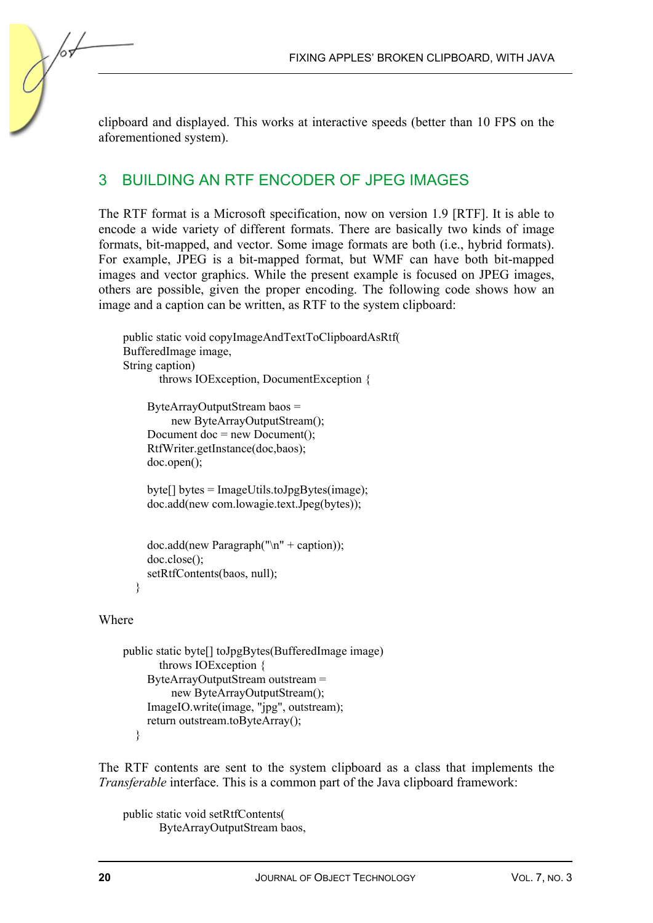FIXING APPLES' BROKEN CLIPBOARD, WITH JAVA

clipboard and displayed. This works at interactive speeds (better than 10 FPS on the aforementioned system).

### 3 BUILDING AN RTF ENCODER OF JPEG IMAGES

The RTF format is a Microsoft specification, now on version 1.9 [RTF]. It is able to encode a wide variety of different formats. There are basically two kinds of image formats, bit-mapped, and vector. Some image formats are both (i.e., hybrid formats). For example, JPEG is a bit-mapped format, but WMF can have both bit-mapped images and vector graphics. While the present example is focused on JPEG images, others are possible, given the proper encoding. The following code shows how an image and a caption can be written, as RTF to the system clipboard:

```
public static void copyImageAndTextToClipboardAsRtf( 
BufferedImage image, 
String caption) 
        throws IOException, DocumentException { 
     ByteArrayOutputStream baos = 
          new ByteArrayOutputStream(); 
    Document doc = new Document();
     RtfWriter.getInstance(doc,baos); 
     doc.open(); 
    byte[] bytes = ImageUtils.toJpgBytes(image);
     doc.add(new com.lowagie.text.Jpeg(bytes)); 
    doc.add(new Paragraph("n" + caption));doc.close();
```
setRtfContents(baos, null);

#### }

#### Where

```
public static byte[] toJpgBytes(BufferedImage image) 
        throws IOException { 
      ByteArrayOutputStream outstream = 
           new ByteArrayOutputStream(); 
      ImageIO.write(image, "jpg", outstream); 
     return outstream.toByteArray(); 
   }
```
The RTF contents are sent to the system clipboard as a class that implements the *Transferable* interface. This is a common part of the Java clipboard framework:

public static void setRtfContents( ByteArrayOutputStream baos,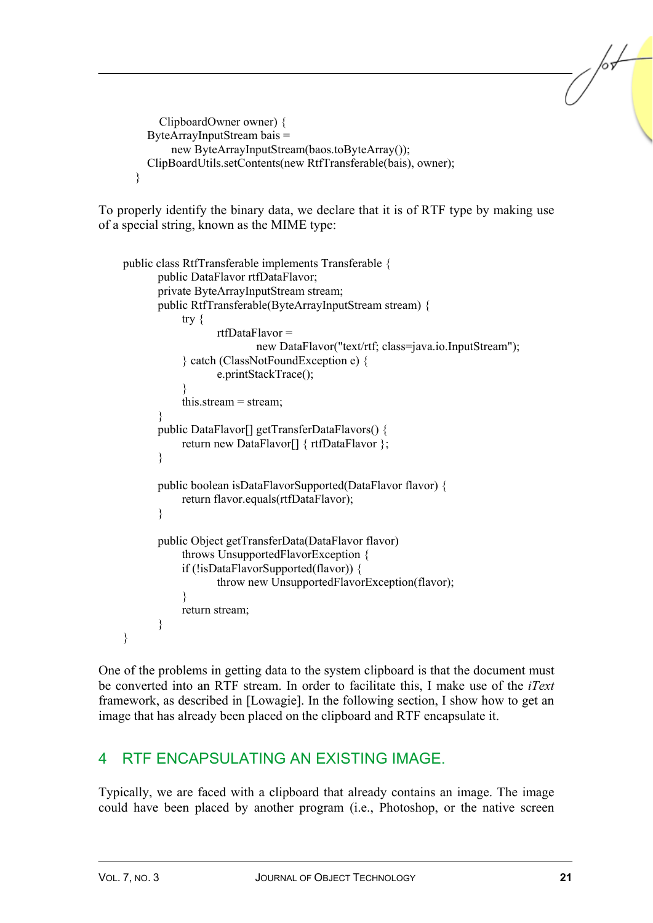```
 ClipboardOwner owner) { 
   ByteArrayInputStream bais = 
        new ByteArrayInputStream(baos.toByteArray()); 
   ClipBoardUtils.setContents(new RtfTransferable(bais), owner); 
 }
```
To properly identify the binary data, we declare that it is of RTF type by making use of a special string, known as the MIME type:

```
public class RtfTransferable implements Transferable { 
         public DataFlavor rtfDataFlavor; 
         private ByteArrayInputStream stream; 
         public RtfTransferable(ByteArrayInputStream stream) { 
              try { 
                       rtfDataFlavor = 
                                new DataFlavor("text/rtf; class=java.io.InputStream"); 
               } catch (ClassNotFoundException e) { 
                       e.printStackTrace(); 
\left\{\begin{array}{cc} 1 & 1 \\ 1 & 1 \end{array}\right\} this.stream = stream; 
         } 
         public DataFlavor[] getTransferDataFlavors() { 
             return new DataFlavor[] { rtfDataFlavor };
         } 
         public boolean isDataFlavorSupported(DataFlavor flavor) { 
              return flavor.equals(rtfDataFlavor); 
         } 
         public Object getTransferData(DataFlavor flavor) 
               throws UnsupportedFlavorException { 
              if (!isDataFlavorSupported(flavor)) { 
                       throw new UnsupportedFlavorException(flavor); 
\left\{\begin{array}{cc} 1 & 1 \\ 1 & 1 \end{array}\right\} return stream; 
         } 
}
```
One of the problems in getting data to the system clipboard is that the document must be converted into an RTF stream. In order to facilitate this, I make use of the *iText* framework, as described in [Lowagie]. In the following section, I show how to get an image that has already been placed on the clipboard and RTF encapsulate it.

## 4 RTF ENCAPSULATING AN EXISTING IMAGE.

Typically, we are faced with a clipboard that already contains an image. The image could have been placed by another program (i.e., Photoshop, or the native screen /sŁ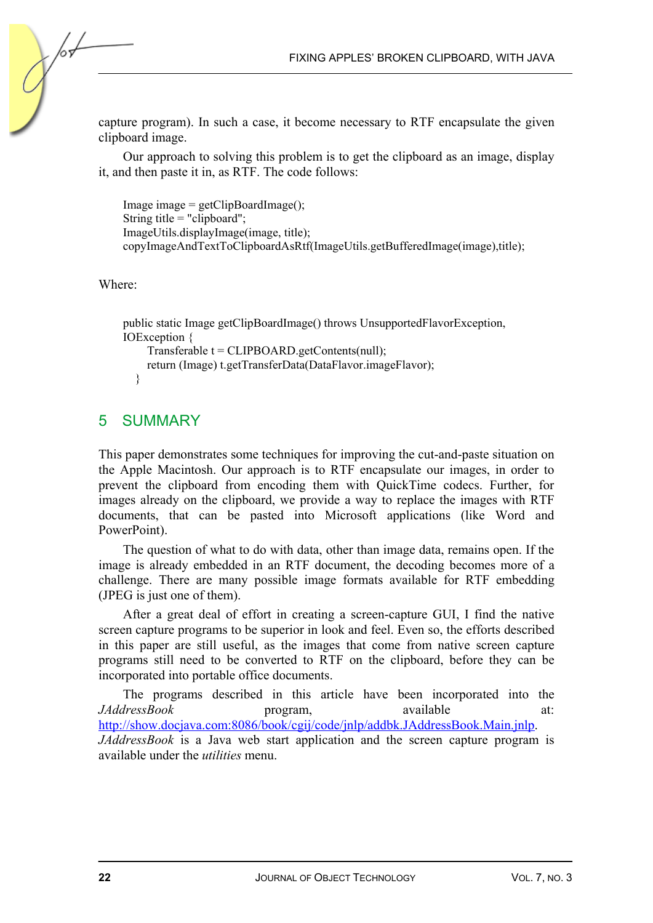capture program). In such a case, it become necessary to RTF encapsulate the given clipboard image.

Our approach to solving this problem is to get the clipboard as an image, display it, and then paste it in, as RTF. The code follows:

```
Image image = getClipBoardImage();
String title = "clipboard"; 
ImageUtils.displayImage(image, title); 
copyImageAndTextToClipboardAsRtf(ImageUtils.getBufferedImage(image),title);
```
Where:

```
public static Image getClipBoardImage() throws UnsupportedFlavorException, 
IOException { 
     Transferable t = CLIPBOARD.getContents(null); 
     return (Image) t.getTransferData(DataFlavor.imageFlavor); 
   }
```
#### 5 SUMMARY

This paper demonstrates some techniques for improving the cut-and-paste situation on the Apple Macintosh. Our approach is to RTF encapsulate our images, in order to prevent the clipboard from encoding them with QuickTime codecs. Further, for images already on the clipboard, we provide a way to replace the images with RTF documents, that can be pasted into Microsoft applications (like Word and PowerPoint).

The question of what to do with data, other than image data, remains open. If the image is already embedded in an RTF document, the decoding becomes more of a challenge. There are many possible image formats available for RTF embedding (JPEG is just one of them).

After a great deal of effort in creating a screen-capture GUI, I find the native screen capture programs to be superior in look and feel. Even so, the efforts described in this paper are still useful, as the images that come from native screen capture programs still need to be converted to RTF on the clipboard, before they can be incorporated into portable office documents.

The programs described in this article have been incorporated into the *JAddressBook* program, available at: http://show.docjava.com:8086/book/cgij/code/jnlp/addbk.JAddressBook.Main.jnlp. *JAddressBook* is a Java web start application and the screen capture program is available under the *utilities* menu.